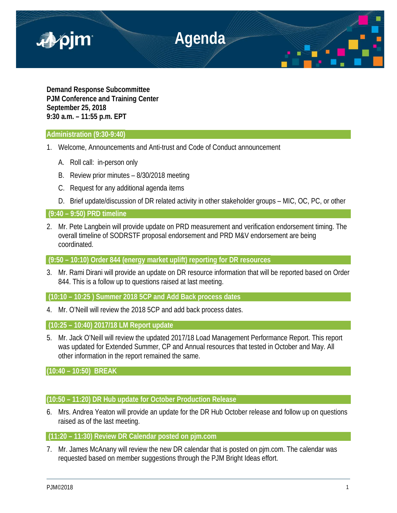

**Demand Response Subcommittee PJM Conference and Training Center September 25, 2018 9:30 a.m. – 11:55 p.m. EPT**

## **Administration (9:30-9:40)**

- 1. Welcome, Announcements and Anti-trust and Code of Conduct announcement
	- A. Roll call: in-person only
	- B. Review prior minutes 8/30/2018 meeting
	- C. Request for any additional agenda items
	- D. Brief update/discussion of DR related activity in other stakeholder groups MIC, OC, PC, or other

# **(9:40 – 9:50) PRD timeline**

2. Mr. Pete Langbein will provide update on PRD measurement and verification endorsement timing. The overall timeline of SODRSTF proposal endorsement and PRD M&V endorsement are being coordinated.

**(9:50 – 10:10) Order 844 (energy market uplift) reporting for DR resources**

3. Mr. Rami Dirani will provide an update on DR resource information that will be reported based on Order 844. This is a follow up to questions raised at last meeting.

**(10:10 – 10:25 ) Summer 2018 5CP and Add Back process dates**

4. Mr. O'Neill will review the 2018 5CP and add back process dates.

**(10:25 – 10:40) 2017/18 LM Report update**

5. Mr. Jack O'Neill will review the updated 2017/18 Load Management Performance Report. This report was updated for Extended Summer, CP and Annual resources that tested in October and May. All other information in the report remained the same.

**(10:40 – 10:50) BREAK**

# **(10:50 – 11:20) DR Hub update for October Production Release**

6. Mrs. Andrea Yeaton will provide an update for the DR Hub October release and follow up on questions raised as of the last meeting.

## **(11:20 – 11:30) Review DR Calendar posted on pjm.com**

7. Mr. James McAnany will review the new DR calendar that is posted on pjm.com. The calendar was requested based on member suggestions through the PJM Bright Ideas effort.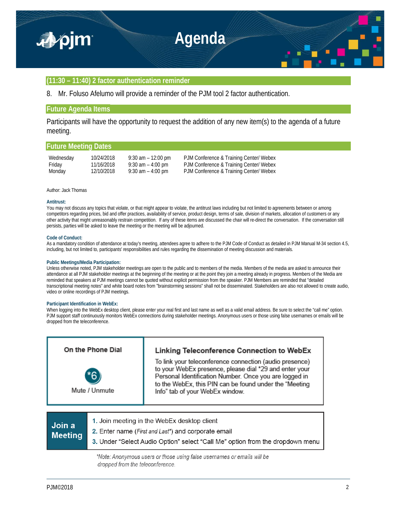

### **(11:30 – 11:40) 2 factor authentication reminder**

8. Mr. Foluso Afelumo will provide a reminder of the PJM tool 2 factor authentication.

### **Future Agenda Items**

Participants will have the opportunity to request the addition of any new item(s) to the agenda of a future meeting.

### **Future Meeting Dates**

| Wednesday | 10/24/2018 | $9:30$ am $-12:00$ pm | PJM Conference & Training Center/ Webex |
|-----------|------------|-----------------------|-----------------------------------------|
| Friday    | 11/16/2018 | $9:30$ am $-4:00$ pm  | PJM Conference & Training Center/ Webex |
| Monday    | 12/10/2018 | $9:30$ am $-4:00$ pm  | PJM Conference & Training Center/ Webex |

### Author: Jack Thomas

#### **Antitrust:**

You may not discuss any topics that violate, or that might appear to violate, the antitrust laws including but not limited to agreements between or among competitors regarding prices, bid and offer practices, availability of service, product design, terms of sale, division of markets, allocation of customers or any other activity that might unreasonably restrain competition. If any of these items are discussed the chair will re-direct the conversation. If the conversation still persists, parties will be asked to leave the meeting or the meeting will be adjourned.

#### **Code of Conduct:**

As a mandatory condition of attendance at today's meeting, attendees agree to adhere to the PJM Code of Conduct as detailed in PJM Manual M-34 section 4.5, including, but not limited to, participants' responsibilities and rules regarding the dissemination of meeting discussion and materials.

### **Public Meetings/Media Participation:**

Unless otherwise noted, PJM stakeholder meetings are open to the public and to members of the media. Members of the media are asked to announce their attendance at all PJM stakeholder meetings at the beginning of the meeting or at the point they join a meeting already in progress. Members of the Media are reminded that speakers at PJM meetings cannot be quoted without explicit permission from the speaker. PJM Members are reminded that "detailed transcriptional meeting notes" and white board notes from "brainstorming sessions" shall not be disseminated. Stakeholders are also not allowed to create audio, video or online recordings of PJM meetings.

### **Participant Identification in WebEx:**

When logging into the WebEx desktop client, please enter your real first and last name as well as a valid email address. Be sure to select the "call me" option. PJM support staff continuously monitors WebEx connections during stakeholder meetings. Anonymous users or those using false usernames or emails will be dropped from the teleconference.

| On the Phone Dial   | Linking Teleconference Connection to WebEx                                                                                                                                                                                                                               |
|---------------------|--------------------------------------------------------------------------------------------------------------------------------------------------------------------------------------------------------------------------------------------------------------------------|
| 56<br>Mute / Unmute | To link your teleconference connection (audio presence)<br>to your WebEx presence, please dial *29 and enter your<br>Personal Identification Number. Once you are logged in<br>to the WebEx, this PIN can be found under the "Meeting<br>Info" tab of your WebEx window. |
|                     |                                                                                                                                                                                                                                                                          |
|                     | loin meeting in the WebEx desktop client                                                                                                                                                                                                                                 |

| Join a<br><b>Meeting</b> | 1. Join meeting in the WebEx desktop client<br>2. Enter name (First and Last*) and corporate email |  |  |
|--------------------------|----------------------------------------------------------------------------------------------------|--|--|
|                          | 3. Under "Select Audio Option" select "Call Me" option from the dropdown menu                      |  |  |

\*Note: Anonymous users or those using false usernames or emails will be dropped from the teleconference.